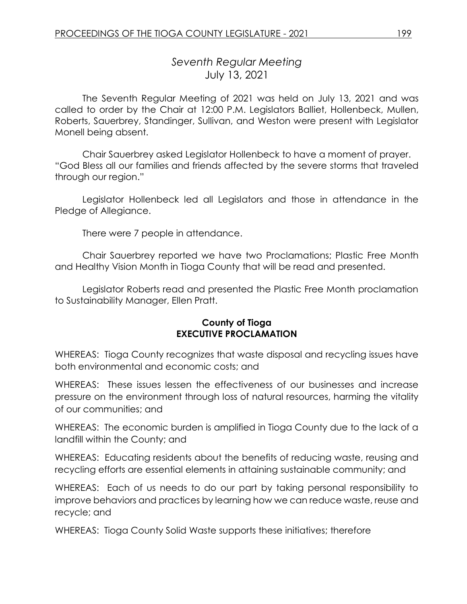# *Seventh Regular Meeting* July 13, 2021

The Seventh Regular Meeting of 2021 was held on July 13, 2021 and was called to order by the Chair at 12:00 P.M. Legislators Balliet, Hollenbeck, Mullen, Roberts, Sauerbrey, Standinger, Sullivan, and Weston were present with Legislator Monell being absent.

Chair Sauerbrey asked Legislator Hollenbeck to have a moment of prayer. "God Bless all our families and friends affected by the severe storms that traveled through our region."

Legislator Hollenbeck led all Legislators and those in attendance in the Pledge of Allegiance.

There were 7 people in attendance.

Chair Sauerbrey reported we have two Proclamations; Plastic Free Month and Healthy Vision Month in Tioga County that will be read and presented.

Legislator Roberts read and presented the Plastic Free Month proclamation to Sustainability Manager, Ellen Pratt.

#### **County of Tioga EXECUTIVE PROCLAMATION**

WHEREAS: Tioga County recognizes that waste disposal and recycling issues have both environmental and economic costs; and

WHEREAS: These issues lessen the effectiveness of our businesses and increase pressure on the environment through loss of natural resources, harming the vitality of our communities; and

WHEREAS: The economic burden is amplified in Tioga County due to the lack of a landfill within the County; and

WHEREAS: Educating residents about the benefits of reducing waste, reusing and recycling efforts are essential elements in attaining sustainable community; and

WHEREAS: Each of us needs to do our part by taking personal responsibility to improve behaviors and practices by learning how we can reduce waste, reuse and recycle; and

WHEREAS: Tioga County Solid Waste supports these initiatives; therefore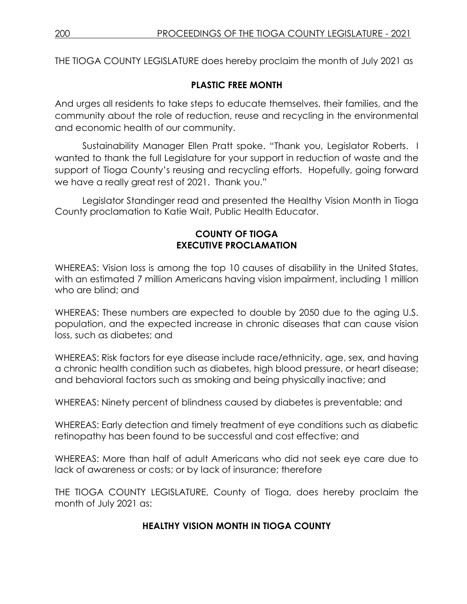THE TIOGA COUNTY LEGISLATURE does hereby proclaim the month of July 2021 as

# **PLASTIC FREE MONTH**

And urges all residents to take steps to educate themselves, their families, and the community about the role of reduction, reuse and recycling in the environmental and economic health of our community.

Sustainability Manager Ellen Pratt spoke. "Thank you, Legislator Roberts. I wanted to thank the full Legislature for your support in reduction of waste and the support of Tioga County's reusing and recycling efforts. Hopefully, going forward we have a really great rest of 2021. Thank you."

Legislator Standinger read and presented the Healthy Vision Month in Tioga County proclamation to Katie Wait, Public Health Educator.

# **COUNTY OF TIOGA EXECUTIVE PROCLAMATION**

WHEREAS: Vision loss is among the top 10 causes of disability in the United States, with an estimated 7 million Americans having vision impairment, including 1 million who are blind; and

WHEREAS: These numbers are expected to double by 2050 due to the aging U.S. population, and the expected increase in chronic diseases that can cause vision loss, such as diabetes; and

WHEREAS: Risk factors for eye disease include race/ethnicity, age, sex, and having a chronic health condition such as diabetes, high blood pressure, or heart disease; and behavioral factors such as smoking and being physically inactive; and

WHEREAS: Ninety percent of blindness caused by diabetes is preventable; and

WHEREAS: Early detection and timely treatment of eye conditions such as diabetic retinopathy has been found to be successful and cost effective; and

WHEREAS: More than half of adult Americans who did not seek eye care due to lack of awareness or costs; or by lack of insurance; therefore

THE TIOGA COUNTY LEGISLATURE, County of Tioga, does hereby proclaim the month of July 2021 as:

# **HEALTHY VISION MONTH IN TIOGA COUNTY**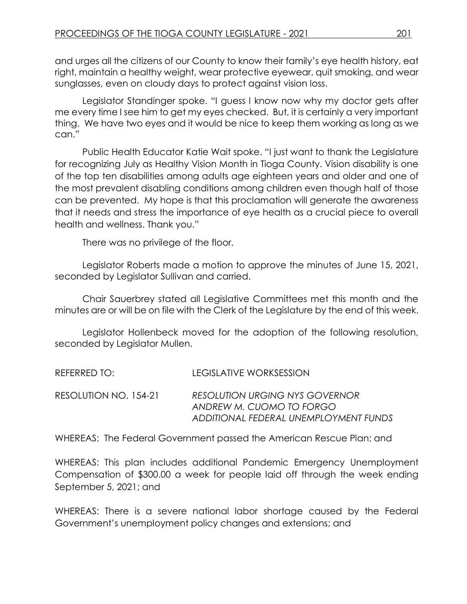and urges all the citizens of our County to know their family's eye health history, eat right, maintain a healthy weight, wear protective eyewear, quit smoking, and wear sunglasses, even on cloudy days to protect against vision loss.

Legislator Standinger spoke. "I guess I know now why my doctor gets after me every time I see him to get my eyes checked. But, it is certainly a very important thing. We have two eyes and it would be nice to keep them working as long as we can."

Public Health Educator Katie Wait spoke. "I just want to thank the Legislature for recognizing July as Healthy Vision Month in Tioga County. Vision disability is one of the top ten disabilities among adults age eighteen years and older and one of the most prevalent disabling conditions among children even though half of those can be prevented. My hope is that this proclamation will generate the awareness that it needs and stress the importance of eye health as a crucial piece to overall health and wellness. Thank you."

There was no privilege of the floor.

Legislator Roberts made a motion to approve the minutes of June 15, 2021, seconded by Legislator Sullivan and carried.

Chair Sauerbrey stated all Legislative Committees met this month and the minutes are or will be on file with the Clerk of the Legislature by the end of this week.

Legislator Hollenbeck moved for the adoption of the following resolution, seconded by Legislator Mullen.

| REFERRED TO: I        | LEGISLATIVE WORKSESSION                                                                                    |
|-----------------------|------------------------------------------------------------------------------------------------------------|
| RESOLUTION NO. 154-21 | <b>RESOLUTION URGING NYS GOVERNOR</b><br>ANDREW M. CUOMO TO FORGO<br>ADDITIONAL FEDERAL UNEMPLOYMENT FUNDS |

WHEREAS: The Federal Government passed the American Rescue Plan; and

WHEREAS: This plan includes additional Pandemic Emergency Unemployment Compensation of \$300.00 a week for people laid off through the week ending September 5, 2021; and

WHEREAS: There is a severe national labor shortage caused by the Federal Government's unemployment policy changes and extensions; and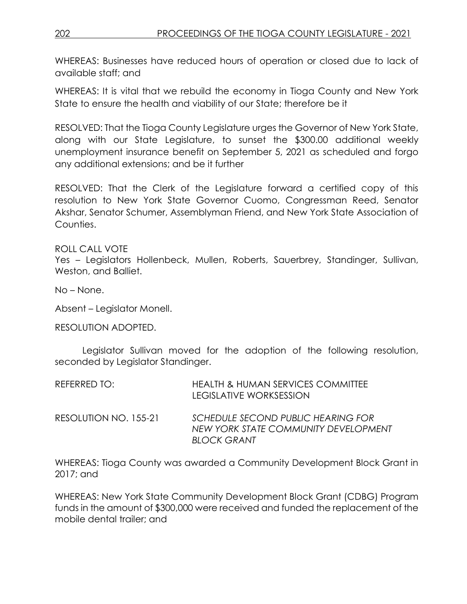WHEREAS: Businesses have reduced hours of operation or closed due to lack of available staff; and

WHEREAS: It is vital that we rebuild the economy in Tioga County and New York State to ensure the health and viability of our State; therefore be it

RESOLVED: That the Tioga County Legislature urges the Governor of New York State, along with our State Legislature, to sunset the \$300.00 additional weekly unemployment insurance benefit on September 5, 2021 as scheduled and forgo any additional extensions; and be it further

RESOLVED: That the Clerk of the Legislature forward a certified copy of this resolution to New York State Governor Cuomo, Congressman Reed, Senator Akshar, Senator Schumer, Assemblyman Friend, and New York State Association of Counties.

ROLL CALL VOTE

Yes – Legislators Hollenbeck, Mullen, Roberts, Sauerbrey, Standinger, Sullivan, Weston, and Balliet.

No – None.

Absent – Legislator Monell.

RESOLUTION ADOPTED.

Legislator Sullivan moved for the adoption of the following resolution, seconded by Legislator Standinger.

| REFERRED TO:          | <b>HEALTH &amp; HUMAN SERVICES COMMITTEE</b><br>LEGISLATIVE WORKSESSION                          |
|-----------------------|--------------------------------------------------------------------------------------------------|
| RESOLUTION NO. 155-21 | SCHEDULE SECOND PUBLIC HEARING FOR<br>NEW YORK STATE COMMUNITY DEVELOPMENT<br><b>BLOCK GRANT</b> |

WHEREAS: Tioga County was awarded a Community Development Block Grant in 2017; and

WHEREAS: New York State Community Development Block Grant (CDBG) Program funds in the amount of \$300,000 were received and funded the replacement of the mobile dental trailer; and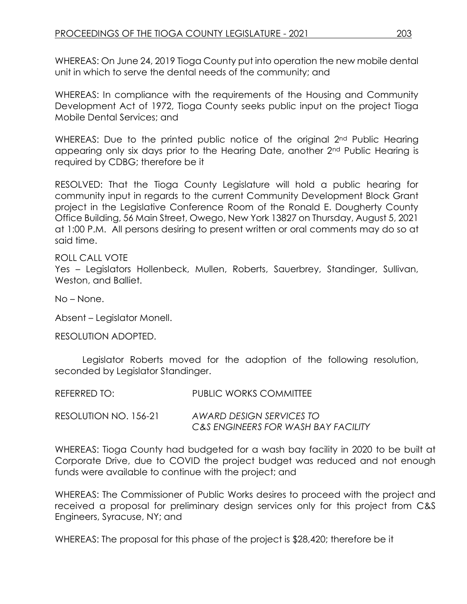WHEREAS: On June 24, 2019 Tioga County put into operation the new mobile dental unit in which to serve the dental needs of the community; and

WHEREAS: In compliance with the requirements of the Housing and Community Development Act of 1972, Tioga County seeks public input on the project Tioga Mobile Dental Services; and

WHEREAS: Due to the printed public notice of the original 2<sup>nd</sup> Public Hearing appearing only six days prior to the Hearing Date, another 2nd Public Hearing is required by CDBG; therefore be it

RESOLVED: That the Tioga County Legislature will hold a public hearing for community input in regards to the current Community Development Block Grant project in the Legislative Conference Room of the Ronald E. Dougherty County Office Building, 56 Main Street, Owego, New York 13827 on Thursday, August 5, 2021 at 1:00 P.M. All persons desiring to present written or oral comments may do so at said time.

#### ROLL CALL VOTE

Yes – Legislators Hollenbeck, Mullen, Roberts, Sauerbrey, Standinger, Sullivan, Weston, and Balliet.

No – None.

Absent – Legislator Monell.

RESOLUTION ADOPTED.

Legislator Roberts moved for the adoption of the following resolution, seconded by Legislator Standinger.

| REFERRED TO:          | PUBLIC WORKS COMMITTEE                                          |
|-----------------------|-----------------------------------------------------------------|
| RESOLUTION NO. 156-21 | AWARD DESIGN SERVICES TO<br>C&S ENGINEERS FOR WASH BAY FACILITY |

WHEREAS: Tioga County had budgeted for a wash bay facility in 2020 to be built at Corporate Drive, due to COVID the project budget was reduced and not enough funds were available to continue with the project; and

WHEREAS: The Commissioner of Public Works desires to proceed with the project and received a proposal for preliminary design services only for this project from C&S Engineers, Syracuse, NY; and

WHEREAS: The proposal for this phase of the project is \$28,420; therefore be it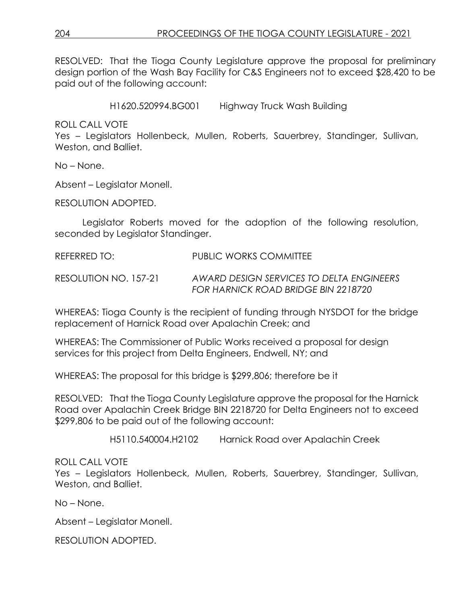RESOLVED: That the Tioga County Legislature approve the proposal for preliminary design portion of the Wash Bay Facility for C&S Engineers not to exceed \$28,420 to be paid out of the following account:

H1620.520994.BG001 Highway Truck Wash Building

ROLL CALL VOTE

Yes – Legislators Hollenbeck, Mullen, Roberts, Sauerbrey, Standinger, Sullivan, Weston, and Balliet.

No – None.

Absent – Legislator Monell.

RESOLUTION ADOPTED.

Legislator Roberts moved for the adoption of the following resolution, seconded by Legislator Standinger.

REFERRED TO: PUBLIC WORKS COMMITTEE

RESOLUTION NO. 157-21 *AWARD DESIGN SERVICES TO DELTA ENGINEERS FOR HARNICK ROAD BRIDGE BIN 2218720*

WHEREAS: Tioga County is the recipient of funding through NYSDOT for the bridge replacement of Harnick Road over Apalachin Creek; and

WHEREAS: The Commissioner of Public Works received a proposal for design services for this project from Delta Engineers, Endwell, NY; and

WHEREAS: The proposal for this bridge is \$299,806; therefore be it

RESOLVED: That the Tioga County Legislature approve the proposal for the Harnick Road over Apalachin Creek Bridge BIN 2218720 for Delta Engineers not to exceed \$299,806 to be paid out of the following account:

H5110.540004.H2102 Harnick Road over Apalachin Creek

## ROLL CALL VOTE

Yes – Legislators Hollenbeck, Mullen, Roberts, Sauerbrey, Standinger, Sullivan, Weston, and Balliet.

No – None.

Absent – Legislator Monell.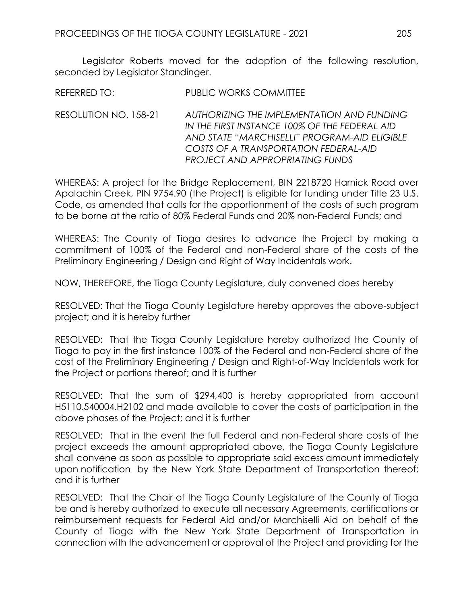Legislator Roberts moved for the adoption of the following resolution, seconded by Legislator Standinger.

RESOLUTION NO. 158-21 *AUTHORIZING THE IMPLEMENTATION AND FUNDING IN THE FIRST INSTANCE 100% OF THE FEDERAL AID AND STATE "MARCHISELLI" PROGRAM-AID ELIGIBLE COSTS OF A TRANSPORTATION FEDERAL-AID PROJECT AND APPROPRIATING FUNDS*

WHEREAS: A project for the Bridge Replacement, BIN 2218720 Harnick Road over Apalachin Creek, PIN 9754.90 (the Project) is eligible for funding under Title 23 U.S. Code, as amended that calls for the apportionment of the costs of such program to be borne at the ratio of 80% Federal Funds and 20% non-Federal Funds; and

WHEREAS: The County of Tioga desires to advance the Project by making a commitment of 100% of the Federal and non-Federal share of the costs of the Preliminary Engineering / Design and Right of Way Incidentals work.

NOW, THEREFORE, the Tioga County Legislature, duly convened does hereby

RESOLVED: That the Tioga County Legislature hereby approves the above-subject project; and it is hereby further

RESOLVED: That the Tioga County Legislature hereby authorized the County of Tioga to pay in the first instance 100% of the Federal and non-Federal share of the cost of the Preliminary Engineering / Design and Right-of-Way Incidentals work for the Project or portions thereof; and it is further

RESOLVED: That the sum of \$294,400 is hereby appropriated from account H5110.540004.H2102 and made available to cover the costs of participation in the above phases of the Project; and it is further

RESOLVED: That in the event the full Federal and non-Federal share costs of the project exceeds the amount appropriated above, the Tioga County Legislature shall convene as soon as possible to appropriate said excess amount immediately upon notification by the New York State Department of Transportation thereof; and it is further

RESOLVED: That the Chair of the Tioga County Legislature of the County of Tioga be and is hereby authorized to execute all necessary Agreements, certifications or reimbursement requests for Federal Aid and/or Marchiselli Aid on behalf of the County of Tioga with the New York State Department of Transportation in connection with the advancement or approval of the Project and providing for the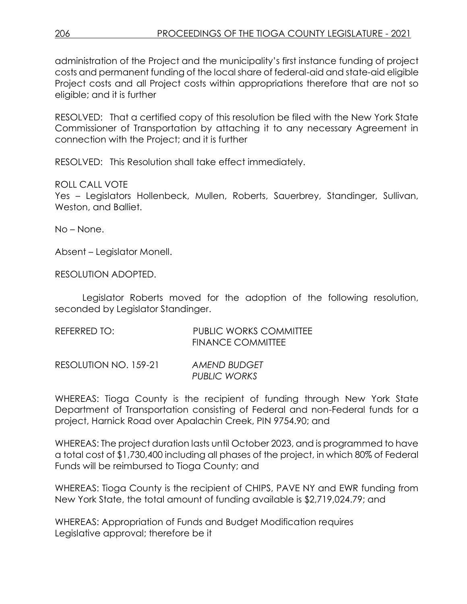administration of the Project and the municipality's first instance funding of project costs and permanent funding of the local share of federal-aid and state-aid eligible Project costs and all Project costs within appropriations therefore that are not so eligible; and it is further

RESOLVED: That a certified copy of this resolution be filed with the New York State Commissioner of Transportation by attaching it to any necessary Agreement in connection with the Project; and it is further

RESOLVED: This Resolution shall take effect immediately.

ROLL CALL VOTE

Yes – Legislators Hollenbeck, Mullen, Roberts, Sauerbrey, Standinger, Sullivan, Weston, and Balliet.

No – None.

Absent – Legislator Monell.

RESOLUTION ADOPTED.

Legislator Roberts moved for the adoption of the following resolution, seconded by Legislator Standinger.

| REFERRED TO: | <b>PUBLIC WORKS COMMITTEE</b> |
|--------------|-------------------------------|
|              | <b>FINANCE COMMITTEE</b>      |
|              |                               |

RESOLUTION NO. 159-21 *AMEND BUDGET PUBLIC WORKS*

WHEREAS: Tioga County is the recipient of funding through New York State Department of Transportation consisting of Federal and non-Federal funds for a project, Harnick Road over Apalachin Creek, PIN 9754.90; and

WHEREAS: The project duration lasts until October 2023, and is programmed to have a total cost of \$1,730,400 including all phases of the project, in which 80% of Federal Funds will be reimbursed to Tioga County; and

WHEREAS: Tioga County is the recipient of CHIPS, PAVE NY and EWR funding from New York State, the total amount of funding available is \$2,719,024.79; and

WHEREAS: Appropriation of Funds and Budget Modification requires Legislative approval; therefore be it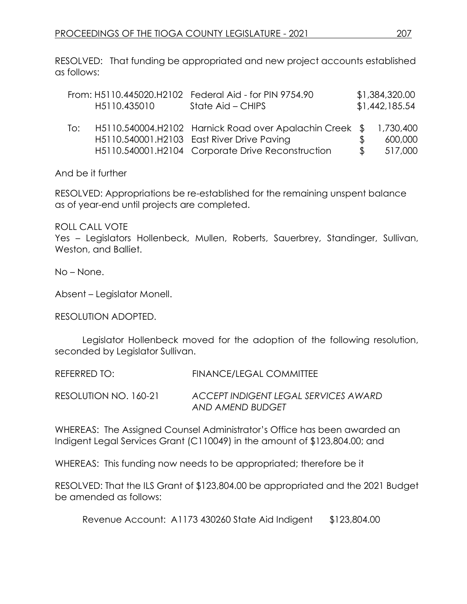RESOLVED: That funding be appropriated and new project accounts established as follows:

|     | H5110.435010 | From: H5110.445020.H2102 Federal Aid - for PIN 9754.90<br>State Aid – CHIPS                                                                                |               | \$1,384,320.00<br>\$1,442,185.54 |
|-----|--------------|------------------------------------------------------------------------------------------------------------------------------------------------------------|---------------|----------------------------------|
| To: |              | H5110.540004.H2102 Harnick Road over Apalachin Creek \$<br>H5110.540001.H2103 East River Drive Paving<br>H5110.540001.H2104 Corporate Drive Reconstruction | $\mathcal{S}$ | 1,730,400<br>600,000<br>517,000  |

And be it further

RESOLVED: Appropriations be re-established for the remaining unspent balance as of year-end until projects are completed.

ROLL CALL VOTE

Yes – Legislators Hollenbeck, Mullen, Roberts, Sauerbrey, Standinger, Sullivan, Weston, and Balliet.

No – None.

Absent – Legislator Monell.

RESOLUTION ADOPTED.

Legislator Hollenbeck moved for the adoption of the following resolution, seconded by Legislator Sullivan.

REFERRED TO: FINANCE/LEGAL COMMITTEE

RESOLUTION NO. 160-21 *ACCEPT INDIGENT LEGAL SERVICES AWARD AND AMEND BUDGET*

WHEREAS: The Assigned Counsel Administrator's Office has been awarded an Indigent Legal Services Grant (C110049) in the amount of \$123,804.00; and

WHEREAS: This funding now needs to be appropriated; therefore be it

RESOLVED: That the ILS Grant of \$123,804.00 be appropriated and the 2021 Budget be amended as follows:

Revenue Account: A1173 430260 State Aid Indigent \$123,804.00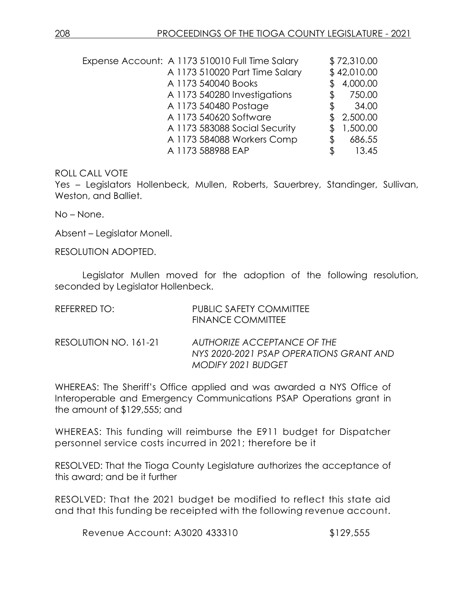| Expense Account: A 1173 510010 Full Time Salary |                     |                                | \$72,310.00  |
|-------------------------------------------------|---------------------|--------------------------------|--------------|
|                                                 |                     | A 1173 510020 Part Time Salary | \$42,010.00  |
|                                                 | A 1173 540040 Books |                                | 4,000.00     |
|                                                 |                     | A 1173 540280 Investigations   | \$<br>750.00 |
|                                                 |                     | A 1173 540480 Postage          | \$<br>34.00  |
|                                                 |                     | A 1173 540620 Software         | 2,500.00     |
|                                                 |                     | A 1173 583088 Social Security  | 1,500.00     |
|                                                 |                     | A 1173 584088 Workers Comp     | \$<br>686.55 |
|                                                 | A 1173 588988 EAP   |                                | \$<br>13.45  |

#### ROLL CALL VOTE

Yes – Legislators Hollenbeck, Mullen, Roberts, Sauerbrey, Standinger, Sullivan, Weston, and Balliet.

No – None.

Absent – Legislator Monell.

RESOLUTION ADOPTED.

Legislator Mullen moved for the adoption of the following resolution, seconded by Legislator Hollenbeck.

| REFERRED TO:          | <b>PUBLIC SAFETY COMMITTEE</b><br><b>FINANCE COMMITTEE</b>                                          |
|-----------------------|-----------------------------------------------------------------------------------------------------|
| RESOLUTION NO. 161-21 | AUTHORIZE ACCEPTANCE OF THE<br>NYS 2020-2021 PSAP OPERATIONS GRANT AND<br><b>MODIFY 2021 BUDGET</b> |

WHEREAS: The Sheriff's Office applied and was awarded a NYS Office of Interoperable and Emergency Communications PSAP Operations grant in the amount of \$129,555; and

WHEREAS: This funding will reimburse the E911 budget for Dispatcher personnel service costs incurred in 2021; therefore be it

RESOLVED: That the Tioga County Legislature authorizes the acceptance of this award; and be it further

RESOLVED: That the 2021 budget be modified to reflect this state aid and that this funding be receipted with the following revenue account.

Revenue Account: A3020 433310 \$129,555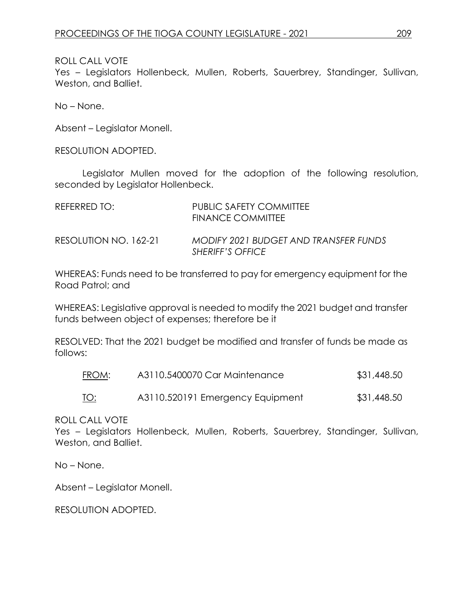ROLL CALL VOTE

Yes – Legislators Hollenbeck, Mullen, Roberts, Sauerbrey, Standinger, Sullivan, Weston, and Balliet.

No – None.

Absent – Legislator Monell.

RESOLUTION ADOPTED.

Legislator Mullen moved for the adoption of the following resolution, seconded by Legislator Hollenbeck.

| REFERRED TO:          | PUBLIC SAFETY COMMITTEE<br>FINANCE COMMITTEE                     |
|-----------------------|------------------------------------------------------------------|
| RESOLUTION NO. 162-21 | <b>MODIFY 2021 BUDGET AND TRANSFER FUNDS</b><br>SHERIFF'S OFFICE |

WHEREAS: Funds need to be transferred to pay for emergency equipment for the Road Patrol; and

WHEREAS: Legislative approval is needed to modify the 2021 budget and transfer funds between object of expenses; therefore be it

RESOLVED: That the 2021 budget be modified and transfer of funds be made as follows:

| FROM:       | A3110.5400070 Car Maintenance    | \$31,448.50 |
|-------------|----------------------------------|-------------|
| <u> TO:</u> | A3110.520191 Emergency Equipment | \$31,448.50 |

ROLL CALL VOTE

Yes – Legislators Hollenbeck, Mullen, Roberts, Sauerbrey, Standinger, Sullivan, Weston, and Balliet.

No – None.

Absent – Legislator Monell.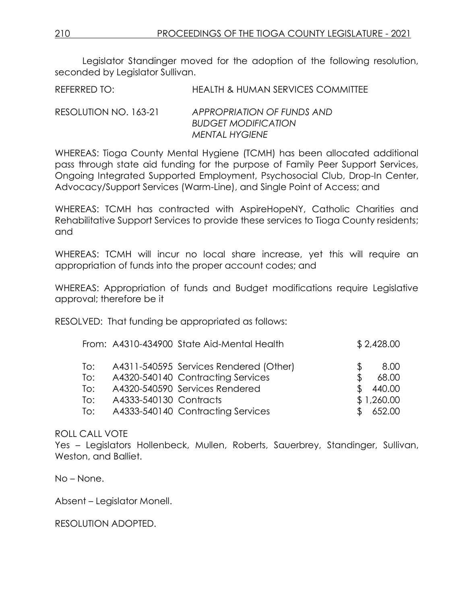Legislator Standinger moved for the adoption of the following resolution, seconded by Legislator Sullivan.

REFERRED TO: HEALTH & HUMAN SERVICES COMMITTEE

RESOLUTION NO. 163-21 *APPROPRIATION OF FUNDS AND BUDGET MODIFICATION MENTAL HYGIENE*

WHEREAS: Tioga County Mental Hygiene (TCMH) has been allocated additional pass through state aid funding for the purpose of Family Peer Support Services, Ongoing Integrated Supported Employment, Psychosocial Club, Drop-In Center, Advocacy/Support Services (Warm-Line), and Single Point of Access; and

WHEREAS: TCMH has contracted with AspireHopeNY, Catholic Charities and Rehabilitative Support Services to provide these services to Tioga County residents; and

WHEREAS: TCMH will incur no local share increase, yet this will require an appropriation of funds into the proper account codes; and

WHEREAS: Appropriation of funds and Budget modifications require Legislative approval; therefore be it

RESOLVED: That funding be appropriated as follows:

|     |                        | From: A4310-434900 State Aid-Mental Health |     | \$2,428.00 |
|-----|------------------------|--------------------------------------------|-----|------------|
| To: |                        | A4311-540595 Services Rendered (Other)     | Ж,  | 8.00       |
| To: |                        | A4320-540140 Contracting Services          | S   | 68.00      |
| To: |                        | A4320-540590 Services Rendered             | \$. | 440.00     |
| To: | A4333-540130 Contracts |                                            |     | \$1,260.00 |
| To: |                        | A4333-540140 Contracting Services          |     | 652.00     |

## ROLL CALL VOTE

Yes – Legislators Hollenbeck, Mullen, Roberts, Sauerbrey, Standinger, Sullivan, Weston, and Balliet.

No – None.

Absent – Legislator Monell.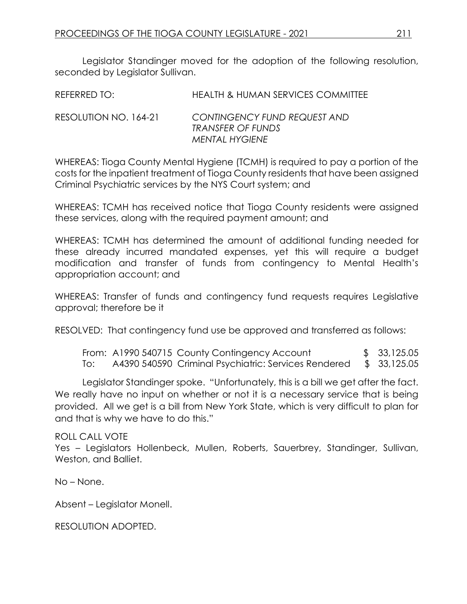Legislator Standinger moved for the adoption of the following resolution, seconded by Legislator Sullivan.

| REFERRED TO: | <b>HEALTH &amp; HUMAN SERVICES COMMITTEE</b> |  |
|--------------|----------------------------------------------|--|
|              |                                              |  |

#### RESOLUTION NO. 164-21 *CONTINGENCY FUND REQUEST AND TRANSFER OF FUNDS MENTAL HYGIENE*

WHEREAS: Tioga County Mental Hygiene (TCMH) is required to pay a portion of the costs for the inpatient treatment of Tioga County residents that have been assigned Criminal Psychiatric services by the NYS Court system; and

WHEREAS: TCMH has received notice that Tioga County residents were assigned these services, along with the required payment amount; and

WHEREAS: TCMH has determined the amount of additional funding needed for these already incurred mandated expenses, yet this will require a budget modification and transfer of funds from contingency to Mental Health's appropriation account; and

WHEREAS: Transfer of funds and contingency fund requests requires Legislative approval; therefore be it

RESOLVED: That contingency fund use be approved and transferred as follows:

From: A1990 540715 County Contingency Account \$ 33,125.05 To: A4390 540590 Criminal Psychiatric: Services Rendered \$ 33,125.05

Legislator Standinger spoke. "Unfortunately, this is a bill we get after the fact. We really have no input on whether or not it is a necessary service that is being provided. All we get is a bill from New York State, which is very difficult to plan for and that is why we have to do this."

## ROLL CALL VOTE

Yes - Legislators Hollenbeck, Mullen, Roberts, Sauerbrey, Standinger, Sullivan, Weston, and Balliet.

No – None.

Absent – Legislator Monell.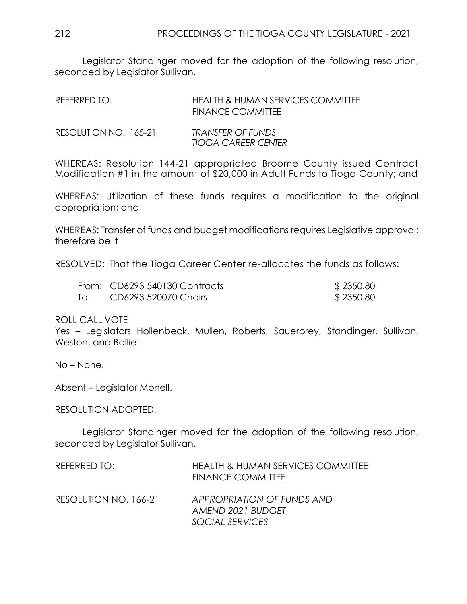Legislator Standinger moved for the adoption of the following resolution, seconded by Legislator Sullivan.

| REFERRED TO: | <b>HEALTH &amp; HUMAN SERVICES COMMITTEE</b> |
|--------------|----------------------------------------------|
|              | <b>FINANCE COMMITTEE</b>                     |

| RESOLUTION NO. 165-21 | <b>TRANSFER OF FUNDS</b>   |
|-----------------------|----------------------------|
|                       | <b>TIOGA CAREER CENTER</b> |

WHEREAS: Resolution 144-21 appropriated Broome County issued Contract Modification #1 in the amount of \$20,000 in Adult Funds to Tioga County; and

WHEREAS: Utilization of these funds requires a modification to the original appropriation; and

WHEREAS: Transfer of funds and budget modifications requires Legislative approval; therefore be it

RESOLVED: That the Tioga Career Center re-allocates the funds as follows:

| From: CD6293 540130 Contracts | \$2350.80 |
|-------------------------------|-----------|
| To: CD6293 520070 Chairs      | \$2350.80 |

ROLL CALL VOTE

Yes – Legislators Hollenbeck, Mullen, Roberts, Sauerbrey, Standinger, Sullivan, Weston, and Balliet.

No – None.

Absent – Legislator Monell.

RESOLUTION ADOPTED.

Legislator Standinger moved for the adoption of the following resolution, seconded by Legislator Sullivan.

| REFERRED TO:          | <b>HEALTH &amp; HUMAN SERVICES COMMITTEE</b><br><b>FINANCE COMMITTEE</b> |
|-----------------------|--------------------------------------------------------------------------|
| RESOLUTION NO. 166-21 | APPROPRIATION OF FUNDS AND<br>AMEND 2021 BUDGET                          |
|                       | SOCIAL SERVICES                                                          |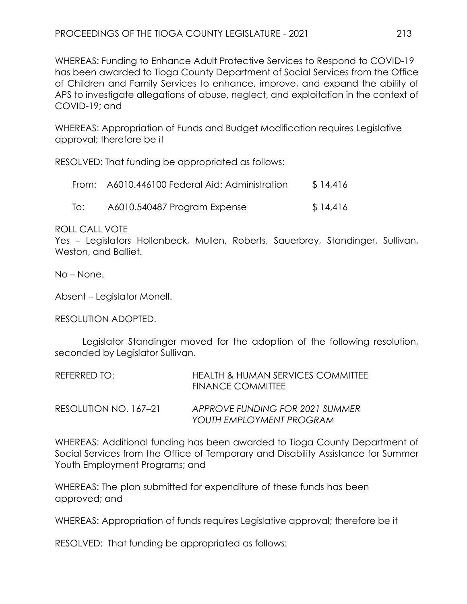WHEREAS: Funding to Enhance Adult Protective Services to Respond to COVID-19 has been awarded to Tioga County Department of Social Services from the Office of Children and Family Services to enhance, improve, and expand the ability of APS to investigate allegations of abuse, neglect, and exploitation in the context of COVID-19; and

WHEREAS: Appropriation of Funds and Budget Modification requires Legislative approval; therefore be it

RESOLVED: That funding be appropriated as follows:

|     | From: A6010.446100 Federal Aid: Administration | \$14,416 |
|-----|------------------------------------------------|----------|
| To: | A6010.540487 Program Expense                   | \$14,416 |

ROLL CALL VOTE

Yes – Legislators Hollenbeck, Mullen, Roberts, Sauerbrey, Standinger, Sullivan, Weston, and Balliet.

No – None.

Absent – Legislator Monell.

RESOLUTION ADOPTED.

Legislator Standinger moved for the adoption of the following resolution, seconded by Legislator Sullivan.

| REFERRED TO:          | HEALTH & HUMAN SERVICES COMMITTEE<br><b>FINANCE COMMITTEE</b> |
|-----------------------|---------------------------------------------------------------|
| RESOLUTION NO. 167–21 | APPROVE FUNDING FOR 2021 SUMMER<br>YOUTH EMPLOYMENT PROGRAM   |

WHEREAS: Additional funding has been awarded to Tioga County Department of Social Services from the Office of Temporary and Disability Assistance for Summer Youth Employment Programs; and

WHEREAS: The plan submitted for expenditure of these funds has been approved; and

WHEREAS: Appropriation of funds requires Legislative approval; therefore be it

RESOLVED: That funding be appropriated as follows: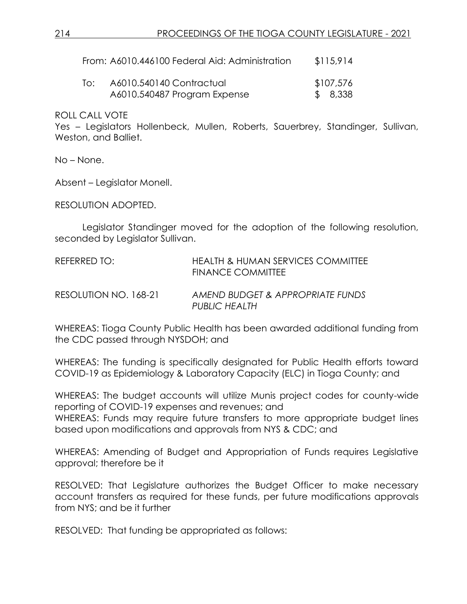| From: A6010.446100 Federal Aid: Administration | \$115,914 |
|------------------------------------------------|-----------|
|------------------------------------------------|-----------|

| To: | A6010.540140 Contractual     | \$107,576 |
|-----|------------------------------|-----------|
|     | A6010.540487 Program Expense | \$8,338   |

ROLL CALL VOTE

Yes – Legislators Hollenbeck, Mullen, Roberts, Sauerbrey, Standinger, Sullivan, Weston, and Balliet.

No – None.

Absent – Legislator Monell.

RESOLUTION ADOPTED.

Legislator Standinger moved for the adoption of the following resolution, seconded by Legislator Sullivan.

| REFERRED TO:          | HEALTH & HUMAN SERVICES COMMITTEE<br>FINANCE COMMITTEE   |
|-----------------------|----------------------------------------------------------|
| RESOLUTION NO. 168-21 | AMEND BUDGET & APPROPRIATE FUNDS<br><b>PUBLIC HEALTH</b> |

WHEREAS: Tioga County Public Health has been awarded additional funding from the CDC passed through NYSDOH; and

WHEREAS: The funding is specifically designated for Public Health efforts toward COVID-19 as Epidemiology & Laboratory Capacity (ELC) in Tioga County; and

WHEREAS: The budget accounts will utilize Munis project codes for county-wide reporting of COVID-19 expenses and revenues; and WHEREAS: Funds may require future transfers to more appropriate budget lines based upon modifications and approvals from NYS & CDC; and

WHEREAS: Amending of Budget and Appropriation of Funds requires Legislative approval; therefore be it

RESOLVED: That Legislature authorizes the Budget Officer to make necessary account transfers as required for these funds, per future modifications approvals from NYS; and be it further

RESOLVED: That funding be appropriated as follows: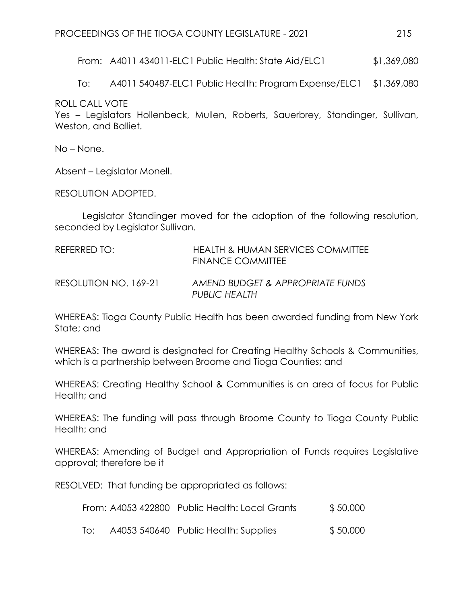From: A4011 434011-ELC1 Public Health: State Aid/ELC1 \$1,369,080

To: A4011 540487-ELC1 Public Health: Program Expense/ELC1 \$1,369,080

ROLL CALL VOTE

Yes – Legislators Hollenbeck, Mullen, Roberts, Sauerbrey, Standinger, Sullivan, Weston, and Balliet.

No – None.

Absent – Legislator Monell.

RESOLUTION ADOPTED.

Legislator Standinger moved for the adoption of the following resolution, seconded by Legislator Sullivan.

| REFERRED TO:          | <b>HEALTH &amp; HUMAN SERVICES COMMITTEE</b><br>FINANCE COMMITTEE |
|-----------------------|-------------------------------------------------------------------|
| RESOLUTION NO. 169-21 | AMEND BUDGET & APPROPRIATE FUNDS<br>PUBLIC HEALTH                 |

WHEREAS: Tioga County Public Health has been awarded funding from New York State; and

WHEREAS: The award is designated for Creating Healthy Schools & Communities, which is a partnership between Broome and Tioga Counties; and

WHEREAS: Creating Healthy School & Communities is an area of focus for Public Health; and

WHEREAS: The funding will pass through Broome County to Tioga County Public Health; and

WHEREAS: Amending of Budget and Appropriation of Funds requires Legislative approval; therefore be it

RESOLVED: That funding be appropriated as follows:

| From: A4053 422800 Public Health: Local Grants | \$50,000 |
|------------------------------------------------|----------|
|                                                |          |

To: A4053 540640 Public Health: Supplies \$ 50,000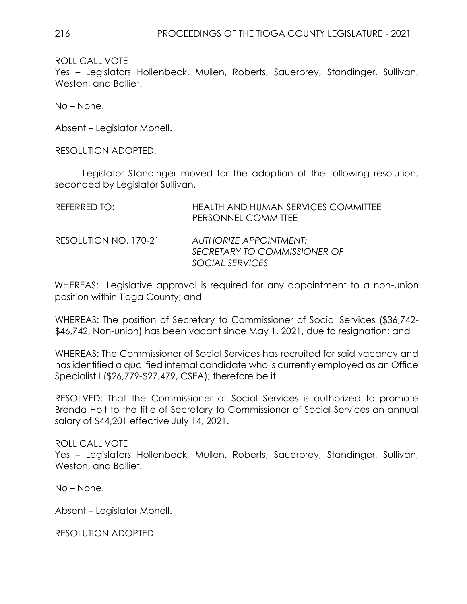ROLL CALL VOTE

Yes – Legislators Hollenbeck, Mullen, Roberts, Sauerbrey, Standinger, Sullivan, Weston, and Balliet.

No – None.

Absent – Legislator Monell.

RESOLUTION ADOPTED.

Legislator Standinger moved for the adoption of the following resolution, seconded by Legislator Sullivan.

| REFERRED TO:          | HEALTH AND HUMAN SERVICES COMMITTEE<br>PERSONNEL COMMITTEE                       |
|-----------------------|----------------------------------------------------------------------------------|
| RESOLUTION NO. 170-21 | <b>AUTHORIZE APPOINTMENT:</b><br>SECRETARY TO COMMISSIONER OF<br>SOCIAL SERVICES |

WHEREAS: Legislative approval is required for any appointment to a non-union position within Tioga County; and

WHEREAS: The position of Secretary to Commissioner of Social Services (\$36,742- \$46,742, Non-union) has been vacant since May 1, 2021, due to resignation; and

WHEREAS: The Commissioner of Social Services has recruited for said vacancy and has identified a qualified internal candidate who is currently employed as an Office Specialist I (\$26,779-\$27,479, CSEA); therefore be it

RESOLVED: That the Commissioner of Social Services is authorized to promote Brenda Holt to the title of Secretary to Commissioner of Social Services an annual salary of \$44,201 effective July 14, 2021.

## ROLL CALL VOTE

Yes – Legislators Hollenbeck, Mullen, Roberts, Sauerbrey, Standinger, Sullivan, Weston, and Balliet.

No – None.

Absent – Legislator Monell.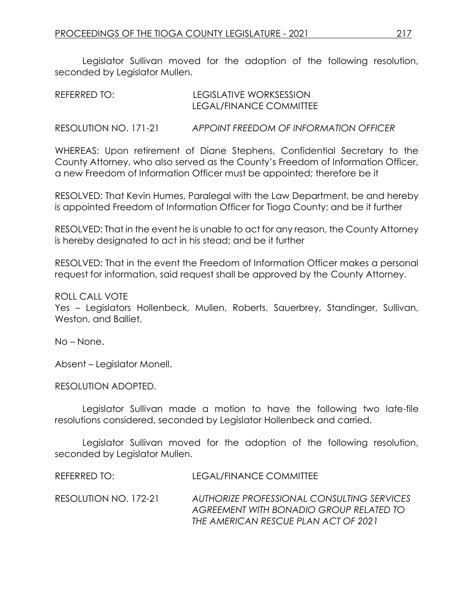Legislator Sullivan moved for the adoption of the following resolution, seconded by Legislator Mullen.

| REFERRED TO: | LEGISLATIVE WORKSESSION |
|--------------|-------------------------|
|              | LEGAL/FINANCE COMMITTEE |
|              |                         |

RESOLUTION NO. 171-21 *APPOINT FREEDOM OF INFORMATION OFFICER*

WHEREAS: Upon retirement of Diane Stephens, Confidential Secretary to the County Attorney, who also served as the County's Freedom of Information Officer, a new Freedom of Information Officer must be appointed; therefore be it

RESOLVED: That Kevin Humes, Paralegal with the Law Department, be and hereby is appointed Freedom of Information Officer for Tioga County; and be it further

RESOLVED: That in the event he is unable to act for any reason, the County Attorney is hereby designated to act in his stead; and be it further

RESOLVED: That in the event the Freedom of Information Officer makes a personal request for information, said request shall be approved by the County Attorney.

ROLL CALL VOTE

Yes – Legislators Hollenbeck, Mullen, Roberts, Sauerbrey, Standinger, Sullivan, Weston, and Balliet.

No – None.

Absent – Legislator Monell.

RESOLUTION ADOPTED.

Legislator Sullivan made a motion to have the following two late-file resolutions considered, seconded by Legislator Hollenbeck and carried.

Legislator Sullivan moved for the adoption of the following resolution, seconded by Legislator Mullen.

REFERRED TO: LEGAL/FINANCE COMMITTEE

RESOLUTION NO. 172-21 *AUTHORIZE PROFESSIONAL CONSULTING SERVICES AGREEMENT WITH BONADIO GROUP RELATED TO THE AMERICAN RESCUE PLAN ACT OF 2021*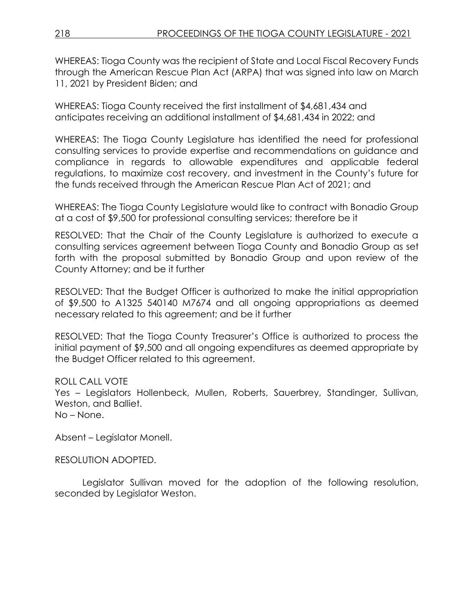WHEREAS: Tioga County was the recipient of State and Local Fiscal Recovery Funds through the American Rescue Plan Act (ARPA) that was signed into law on March 11, 2021 by President Biden; and

WHEREAS: Tioga County received the first installment of \$4,681,434 and anticipates receiving an additional installment of \$4,681,434 in 2022; and

WHEREAS: The Tioga County Legislature has identified the need for professional consulting services to provide expertise and recommendations on guidance and compliance in regards to allowable expenditures and applicable federal regulations, to maximize cost recovery, and investment in the County's future for the funds received through the American Rescue Plan Act of 2021; and

WHEREAS: The Tioga County Legislature would like to contract with Bonadio Group at a cost of \$9,500 for professional consulting services; therefore be it

RESOLVED: That the Chair of the County Legislature is authorized to execute a consulting services agreement between Tioga County and Bonadio Group as set forth with the proposal submitted by Bonadio Group and upon review of the County Attorney; and be it further

RESOLVED: That the Budget Officer is authorized to make the initial appropriation of \$9,500 to A1325 540140 M7674 and all ongoing appropriations as deemed necessary related to this agreement; and be it further

RESOLVED: That the Tioga County Treasurer's Office is authorized to process the initial payment of \$9,500 and all ongoing expenditures as deemed appropriate by the Budget Officer related to this agreement.

ROLL CALL VOTE Yes – Legislators Hollenbeck, Mullen, Roberts, Sauerbrey, Standinger, Sullivan, Weston, and Balliet. No – None.

Absent – Legislator Monell.

RESOLUTION ADOPTED.

Legislator Sullivan moved for the adoption of the following resolution, seconded by Legislator Weston.